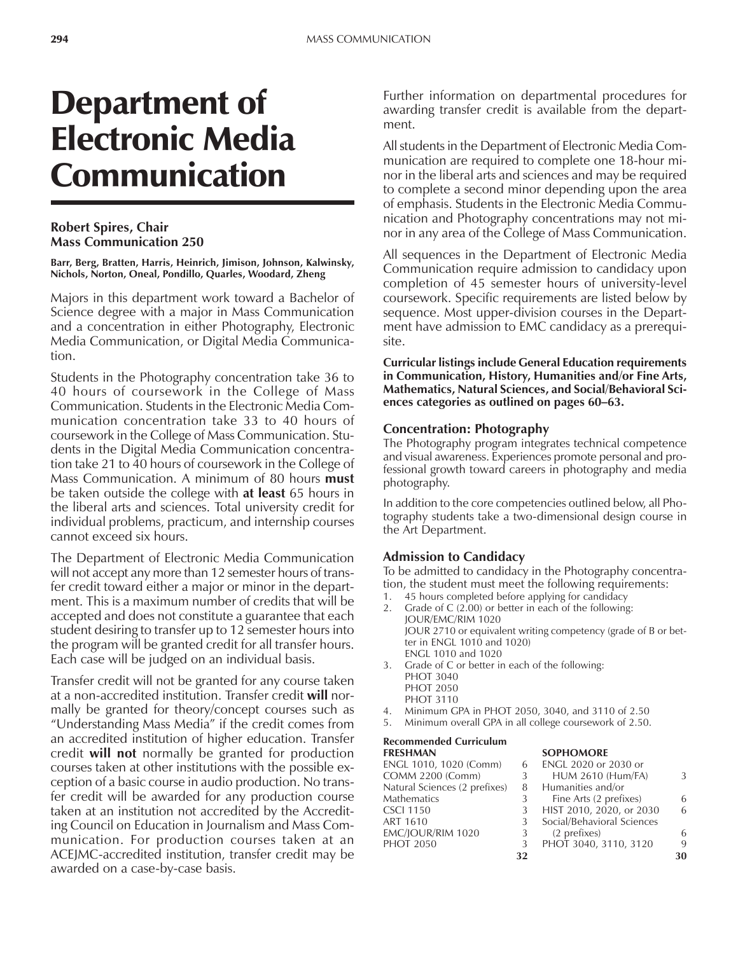# Department of Electronic Media Communication

#### **Robert Spires, Chair Mass Communication 250**

**Barr, Berg, Bratten, Harris, Heinrich, Jimison, Johnson, Kalwinsky, Nichols, Norton, Oneal, Pondillo, Quarles, Woodard, Zheng**

Majors in this department work toward a Bachelor of Science degree with a major in Mass Communication and a concentration in either Photography, Electronic Media Communication, or Digital Media Communication.

Students in the Photography concentration take 36 to 40 hours of coursework in the College of Mass Communication. Students in the Electronic Media Communication concentration take 33 to 40 hours of coursework in the College of Mass Communication. Students in the Digital Media Communication concentration take 21 to 40 hours of coursework in the College of Mass Communication. A minimum of 80 hours **must** be taken outside the college with **at least** 65 hours in the liberal arts and sciences. Total university credit for individual problems, practicum, and internship courses cannot exceed six hours.

The Department of Electronic Media Communication will not accept any more than 12 semester hours of transfer credit toward either a major or minor in the department. This is a maximum number of credits that will be accepted and does not constitute a guarantee that each student desiring to transfer up to 12 semester hours into the program will be granted credit for all transfer hours. Each case will be judged on an individual basis.

Transfer credit will not be granted for any course taken at a non-accredited institution. Transfer credit **will** normally be granted for theory/concept courses such as ìUnderstanding Mass Mediaî if the credit comes from an accredited institution of higher education. Transfer credit **will not** normally be granted for production courses taken at other institutions with the possible exception of a basic course in audio production. No transfer credit will be awarded for any production course taken at an institution not accredited by the Accrediting Council on Education in Journalism and Mass Communication. For production courses taken at an ACEJMC-accredited institution, transfer credit may be awarded on a case-by-case basis.

Further information on departmental procedures for awarding transfer credit is available from the department.

All students in the Department of Electronic Media Communication are required to complete one 18-hour minor in the liberal arts and sciences and may be required to complete a second minor depending upon the area of emphasis. Students in the Electronic Media Communication and Photography concentrations may not minor in any area of the College of Mass Communication.

All sequences in the Department of Electronic Media Communication require admission to candidacy upon completion of 45 semester hours of university-level coursework. Specific requirements are listed below by sequence. Most upper-division courses in the Department have admission to EMC candidacy as a prerequisite.

**Curricular listings include General Education requirements in Communication, History, Humanities and/or Fine Arts, Mathematics, Natural Sciences, and Social/Behavioral Sci**ences categories as outlined on pages 60–63.

#### **Concentration: Photography**

The Photography program integrates technical competence and visual awareness. Experiences promote personal and professional growth toward careers in photography and media photography.

In addition to the core competencies outlined below, all Photography students take a two-dimensional design course in the Art Department.

#### **Admission to Candidacy**

To be admitted to candidacy in the Photography concentration, the student must meet the following requirements:

- 45 hours completed before applying for candidacy
- 2. Grade of C (2.00) or better in each of the following: JOUR/EMC/RIM 1020 JOUR 2710 or equivalent writing competency (grade of B or better in ENGL 1010 and 1020) ENGL 1010 and 1020
- 3. Grade of C or better in each of the following: PHOT 3040 PHOT 2050 PHOT 3110
- 4. Minimum GPA in PHOT 2050, 3040, and 3110 of 2.50
- 5. Minimum overall GPA in all college coursework of 2.50.

#### **Recommended Curriculum FRESHMAN SOPHOMORE**

| .                             |    |                            |    |
|-------------------------------|----|----------------------------|----|
| ENGL 1010, 1020 (Comm)        | 6  | ENGL 2020 or 2030 or       |    |
| <b>COMM 2200 (Comm)</b>       | 3  | <b>HUM 2610 (Hum/FA)</b>   | 3  |
| Natural Sciences (2 prefixes) | -8 | Humanities and/or          |    |
| Mathematics                   | 3  | Fine Arts (2 prefixes)     | 6  |
| CSCI 1150                     | 3  | HIST 2010, 2020, or 2030   | 6  |
| ART 1610                      | 3  | Social/Behavioral Sciences |    |
| EMC/JOUR/RIM 1020             | 3  | (2 prefixes)               | 6  |
| <b>PHOT 2050</b>              | 3  | PHOT 3040, 3110, 3120      | 9  |
|                               | 32 |                            | 30 |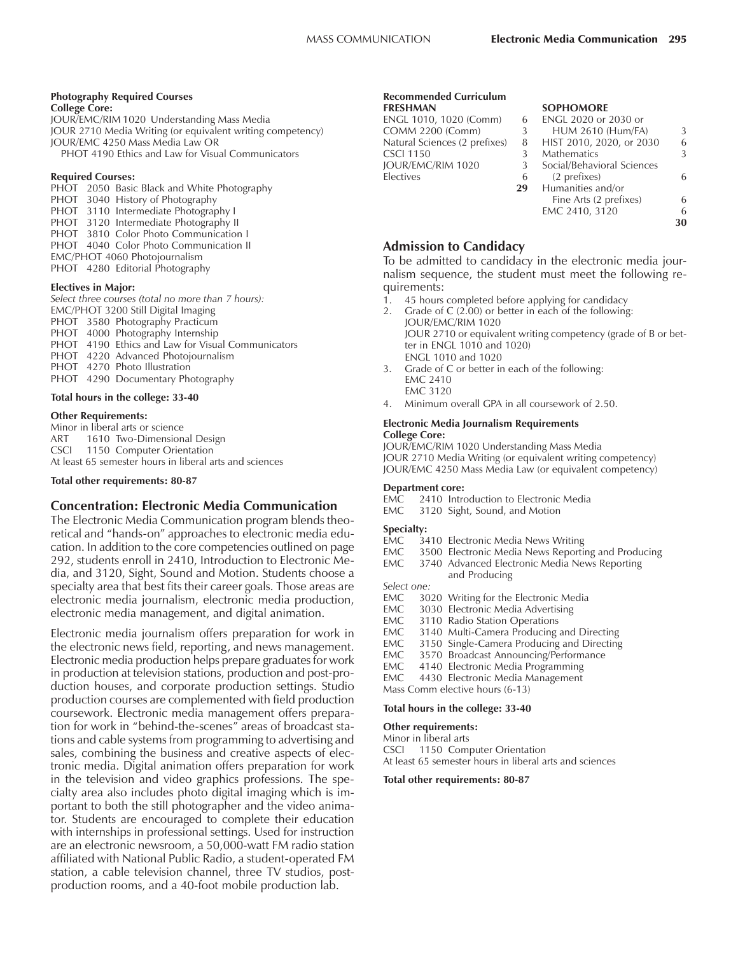#### **Photography Required Courses**

**College Core:** JOUR/EMC/RIM 1020 Understanding Mass Media JOUR 2710 Media Writing (or equivalent writing competency) JOUR/EMC 4250 Mass Media Law OR PHOT 4190 Ethics and Law for Visual Communicators

#### **Required Courses:**

PHOT 2050 Basic Black and White Photography PHOT 3040 History of Photography PHOT 3110 Intermediate Photography I PHOT 3120 Intermediate Photography II PHOT 3810 Color Photo Communication I PHOT 4040 Color Photo Communication II EMC/PHOT 4060 Photojournalism PHOT 4280 Editorial Photography

#### **Electives in Major:**

*Select three courses (total no more than 7 hours):* EMC/PHOT 3200 Still Digital Imaging PHOT 3580 Photography Practicum PHOT 4000 Photography Internship PHOT 4190 Ethics and Law for Visual Communicators PHOT 4220 Advanced Photojournalism PHOT 4270 Photo Illustration PHOT 4290 Documentary Photography

#### **Total hours in the college: 33-40**

#### **Other Requirements:**

Minor in liberal arts or science ART 1610 Two-Dimensional Design CSCI 1150 Computer Orientation At least 65 semester hours in liberal arts and sciences

#### **Total other requirements: 80-87**

### **Concentration: Electronic Media Communication**

The Electronic Media Communication program blends theoretical and "hands-on" approaches to electronic media education. In addition to the core competencies outlined on page 292, students enroll in 2410, Introduction to Electronic Media, and 3120, Sight, Sound and Motion. Students choose a specialty area that best fits their career goals. Those areas are electronic media journalism, electronic media production, electronic media management, and digital animation.

Electronic media journalism offers preparation for work in the electronic news field, reporting, and news management. Electronic media production helps prepare graduates for work in production at television stations, production and post-production houses, and corporate production settings. Studio production courses are complemented with field production coursework. Electronic media management offers preparation for work in "behind-the-scenes" areas of broadcast stations and cable systems from programming to advertising and sales, combining the business and creative aspects of electronic media. Digital animation offers preparation for work in the television and video graphics professions. The specialty area also includes photo digital imaging which is important to both the still photographer and the video animator. Students are encouraged to complete their education with internships in professional settings. Used for instruction are an electronic newsroom, a 50,000-watt FM radio station affiliated with National Public Radio, a student-operated FM station, a cable television channel, three TV studios, postproduction rooms, and a 40-foot mobile production lab.

#### **Recommended Curriculum FRESHMAN SOPHOMORE**

|                                    | ENGL 2020 or 2030 or    |
|------------------------------------|-------------------------|
| <b>COMM 2200 (Comm)</b><br>3       | <b>HUM 2610 (Hum/FA</b> |
| Natural Sciences (2 prefixes)<br>8 | HIST 2010, 2020, or 2   |
| <b>CSCI 1150</b>                   | <b>Mathematics</b>      |
| JOUR/EMC/RIM 1020<br>-3            | Social/Behavioral Scien |
| Electives<br>6                     | (2 prefixes)            |
| 29                                 |                         |
|                                    | Humanities and/or       |

| 6  | ENGL 2020 or 2030 or       |    |
|----|----------------------------|----|
| 3  | <b>HUM 2610 (Hum/FA)</b>   | 3  |
| 8  | HIST 2010, 2020, or 2030   | 6  |
| 3  | <b>Mathematics</b>         | 3  |
| 3  | Social/Behavioral Sciences |    |
| 6  | (2 prefixes)               | 6  |
| 29 | Humanities and/or          |    |
|    | Fine Arts (2 prefixes)     | 6  |
|    | EMC 2410, 3120             | 6  |
|    |                            | 30 |
|    |                            |    |

### **Admission to Candidacy**

To be admitted to candidacy in the electronic media journalism sequence, the student must meet the following requirements:

- 1. 45 hours completed before applying for candidacy
- 2. Grade of C (2.00) or better in each of the following: JOUR/EMC/RIM 1020 JOUR 2710 or equivalent writing competency (grade of B or better in ENGL 1010 and 1020) ENGL 1010 and 1020
- 3. Grade of C or better in each of the following: EMC 2410 EMC 3120
- 4. Minimum overall GPA in all coursework of 2.50.

#### **Electronic Media Journalism Requirements College Core:**

JOUR/EMC/RIM 1020 Understanding Mass Media JOUR 2710 Media Writing (or equivalent writing competency) JOUR/EMC 4250 Mass Media Law (or equivalent competency)

#### **Department core:**

- EMC 2410 Introduction to Electronic Media
- EMC 3120 Sight, Sound, and Motion

#### **Specialty:**

- EMC 3410 Electronic Media News Writing
- EMC 3500 Electronic Media News Reporting and Producing
- EMC 3740 Advanced Electronic Media News Reporting and Producing

*Select one:*

- EMC 3020 Writing for the Electronic Media
- EMC 3030 Electronic Media Advertising
- EMC 3110 Radio Station Operations
- 
- EMC 3140 Multi-Camera Producing and Directing<br>EMC 3150 Single-Camera Producing and Directing 3150 Single-Camera Producing and Directing
- EMC 3570 Broadcast Announcing/Performance
- 
- EMC 4140 Electronic Media Programming<br>EMC 4430 Electronic Media Management 4430 Electronic Media Management
- Mass Comm elective hours (6-13)

#### **Total hours in the college: 33-40**

#### **Other requirements:**

Minor in liberal arts CSCI 1150 Computer Orientation At least 65 semester hours in liberal arts and sciences

#### **Total other requirements: 80-87**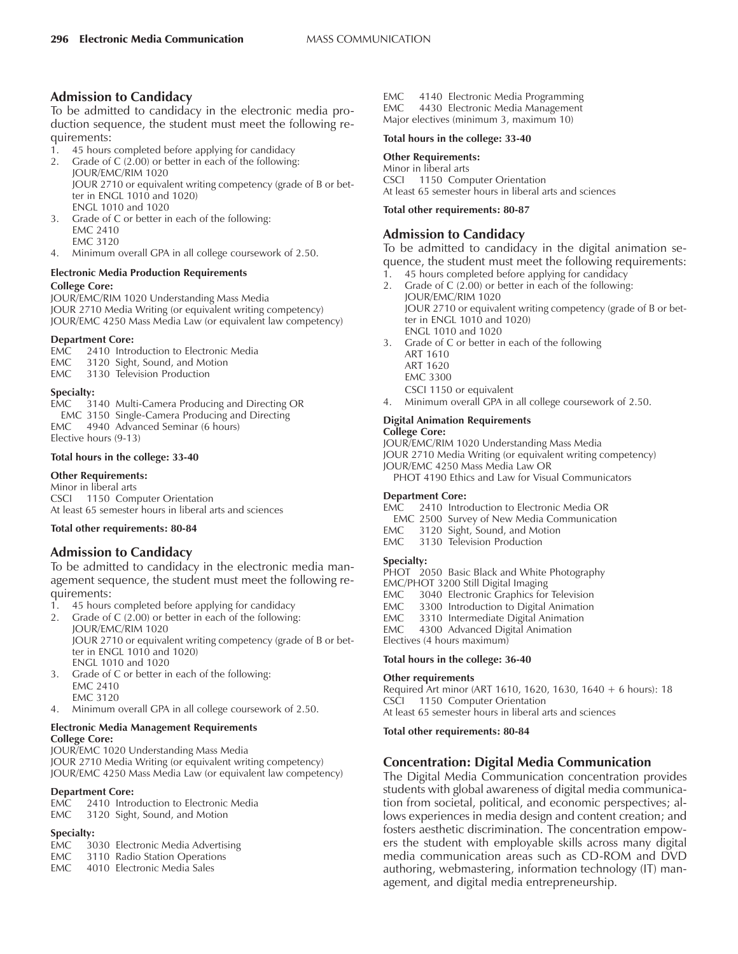### **Admission to Candidacy**

To be admitted to candidacy in the electronic media production sequence, the student must meet the following requirements:

- 1. 45 hours completed before applying for candidacy
- 2. Grade of C (2.00) or better in each of the following: JOUR/EMC/RIM 1020 JOUR 2710 or equivalent writing competency (grade of B or better in ENGL 1010 and 1020)
- ENGL 1010 and 1020 3. Grade of C or better in each of the following: EMC 2410 EMC 3120
- 4. Minimum overall GPA in all college coursework of 2.50.

# **Electronic Media Production Requirements**

#### **College Core:**

JOUR/EMC/RIM 1020 Understanding Mass Media JOUR 2710 Media Writing (or equivalent writing competency) JOUR/EMC 4250 Mass Media Law (or equivalent law competency)

#### **Department Core:**

- EMC 2410 Introduction to Electronic Media
- EMC 3120 Sight, Sound, and Motion
- EMC 3130 Television Production

#### **Specialty:**

EMC 3140 Multi-Camera Producing and Directing OR EMC 3150 Single-Camera Producing and Directing EMC 4940 Advanced Seminar (6 hours) Elective hours (9-13)

#### **Total hours in the college: 33-40**

#### **Other Requirements:**

Minor in liberal arts CSCI 1150 Computer Orientation At least 65 semester hours in liberal arts and sciences

#### **Total other requirements: 80-84**

#### **Admission to Candidacy**

To be admitted to candidacy in the electronic media management sequence, the student must meet the following requirements:

- 1. 45 hours completed before applying for candidacy
- 2. Grade of C (2.00) or better in each of the following: JOUR/EMC/RIM 1020 JOUR 2710 or equivalent writing competency (grade of B or better in ENGL 1010 and 1020) ENGL 1010 and 1020
- 3. Grade of C or better in each of the following:
	- EMC 2410 EMC 3120
- 4. Minimum overall GPA in all college coursework of 2.50.

#### **Electronic Media Management Requirements College Core:**

JOUR/EMC 1020 Understanding Mass Media JOUR 2710 Media Writing (or equivalent writing competency) JOUR/EMC 4250 Mass Media Law (or equivalent law competency)

#### **Department Core:**

EMC 2410 Introduction to Electronic Media EMC 3120 Sight, Sound, and Motion

#### **Specialty:**

- EMC 3030 Electronic Media Advertising
- EMC 3110 Radio Station Operations
- EMC 4010 Electronic Media Sales

EMC 4140 Electronic Media Programming EMC 4430 Electronic Media Management Major electives (minimum 3, maximum 10)

#### **Total hours in the college: 33-40**

#### **Other Requirements:**

Minor in liberal arts CSCI 1150 Computer Orientation At least 65 semester hours in liberal arts and sciences

#### **Total other requirements: 80-87**

# **Admission to Candidacy**

To be admitted to candidacy in the digital animation sequence, the student must meet the following requirements:

1. 45 hours completed before applying for candidacy 2. Grade of C (2.00) or better in each of the following: JOUR/EMC/RIM 1020

JOUR 2710 or equivalent writing competency (grade of B or better in ENGL 1010 and 1020) ENGL 1010 and 1020

- 3. Grade of C or better in each of the following
	- ART 1610
	- ART 1620
	- EMC 3300
	- CSCI 1150 or equivalent
- 4. Minimum overall GPA in all college coursework of 2.50.

#### **Digital Animation Requirements College Core:**

JOUR/EMC/RIM 1020 Understanding Mass Media JOUR 2710 Media Writing (or equivalent writing competency) JOUR/EMC 4250 Mass Media Law OR PHOT 4190 Ethics and Law for Visual Communicators

#### **Department Core:**

- EMC 2410 Introduction to Electronic Media OR
- EMC 2500 Survey of New Media Communication
- EMC 3120 Sight, Sound, and Motion
- EMC 3130 Television Production

#### **Specialty:**

PHOT 2050 Basic Black and White Photography

- EMC/PHOT 3200 Still Digital Imaging<br>EMC 3040 Electronic Graphics for
- 3040 Electronic Graphics for Television
- EMC 3300 Introduction to Digital Animation<br>EMC 3310 Intermediate Digital Animation
- 3310 Intermediate Digital Animation
- EMC 4300 Advanced Digital Animation

Electives (4 hours maximum)

#### **Total hours in the college: 36-40**

#### **Other requirements**

Required Art minor (ART 1610, 1620, 1630, 1640 + 6 hours): 18 CSCI 1150 Computer Orientation At least 65 semester hours in liberal arts and sciences

#### **Total other requirements: 80-84**

### **Concentration: Digital Media Communication**

The Digital Media Communication concentration provides students with global awareness of digital media communication from societal, political, and economic perspectives; allows experiences in media design and content creation; and fosters aesthetic discrimination. The concentration empowers the student with employable skills across many digital media communication areas such as CD-ROM and DVD authoring, webmastering, information technology (IT) management, and digital media entrepreneurship.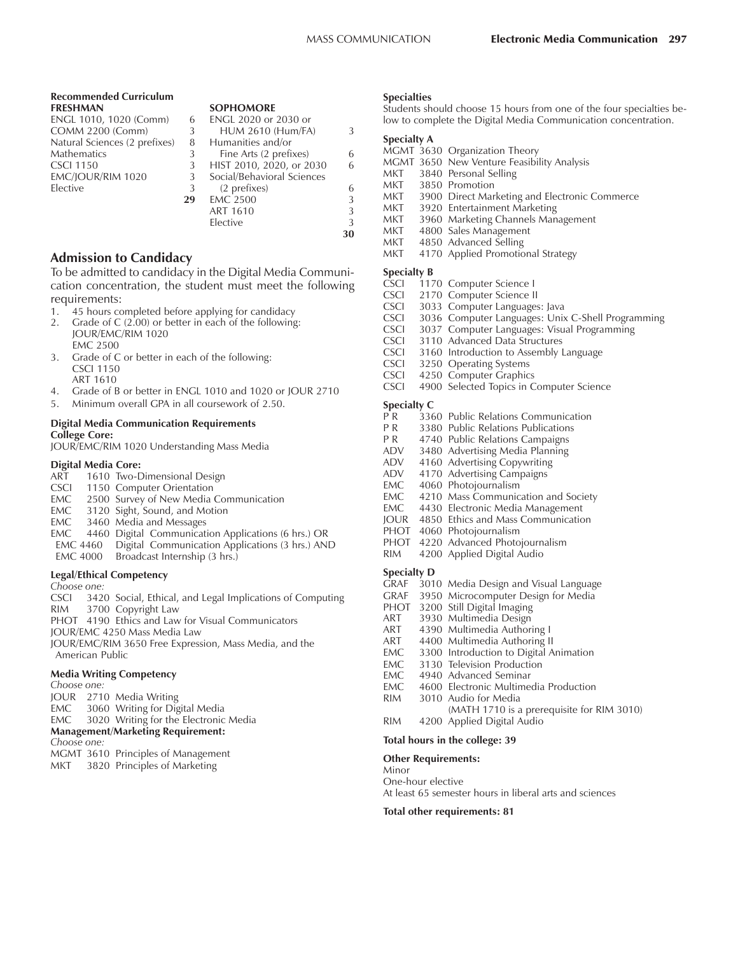# **Recommended Curriculum FRESHMAN SOPHOMORE**<br>ENGL 1010, 1020 (Comm) 6 ENGL 2020 or

| ENGL 1010, 1020 (Comm)        | 6  | ENGL 2020 or 2030 or       |    |
|-------------------------------|----|----------------------------|----|
| <b>COMM 2200 (Comm)</b>       | 3  | <b>HUM 2610 (Hum/FA)</b>   | 3  |
| Natural Sciences (2 prefixes) | 8  | Humanities and/or          |    |
| Mathematics                   | 3  | Fine Arts (2 prefixes)     | 6  |
| CSCI 1150                     | 3  | HIST 2010, 2020, or 2030   | 6  |
| EMC/IOUR/RIM 1020             | 3  | Social/Behavioral Sciences |    |
| Elective                      | 3  | (2 prefixes)               | 6  |
|                               | 29 | <b>EMC 2500</b>            | 3  |
|                               |    | ART 1610                   | 3  |
|                               |    | Elective                   | 3  |
|                               |    |                            | 30 |
|                               |    |                            |    |

#### **Admission to Candidacy**

To be admitted to candidacy in the Digital Media Communication concentration, the student must meet the following requirements:

- 1. 45 hours completed before applying for candidacy
- 2. Grade of C (2.00) or better in each of the following: JOUR/EMC/RIM 1020 EMC 2500
- 3. Grade of C or better in each of the following: CSCI 1150 ART 1610
- 4. Grade of B or better in ENGL 1010 and 1020 or JOUR 2710
- 5. Minimum overall GPA in all coursework of 2.50.

#### **Digital Media Communication Requirements College Core:**

JOUR/EMC/RIM 1020 Understanding Mass Media

#### **Digital Media Core:**

- ART 1610 Two-Dimensional Design
- CSCI 1150 Computer Orientation
- EMC 2500 Survey of New Media Communication
- EMC 3120 Sight, Sound, and Motion<br>EMC 3460 Media and Messages
- 3460 Media and Messages
- EMC 4460 Digital Communication Applications (6 hrs.) OR EMC 4460 Digital Communication Applications (3 hrs.) AND
- EMC 4000 Broadcast Internship (3 hrs.)

#### **Legal/Ethical Competency**

*Choose one:*

CSCI 3420 Social, Ethical, and Legal Implications of Computing RIM 3700 Copyright Law PHOT 4190 Ethics and Law for Visual Communicators JOUR/EMC 4250 Mass Media Law JOUR/EMC/RIM 3650 Free Expression, Mass Media, and the

American Public

#### **Media Writing Competency**

*Choose one:*

- JOUR 2710 Media Writing
- EMC 3060 Writing for Digital Media<br>EMC 3020 Writing for the Electronic
- 3020 Writing for the Electronic Media
- **Management/Marketing Requirement:**

```
Choose one:
```
MGMT 3610 Principles of Management

MKT 3820 Principles of Marketing

#### **Specialties**

Students should choose 15 hours from one of the four specialties below to complete the Digital Media Communication concentration.

#### **Specialty A**

- MGMT 3630 Organization Theory
- MGMT 3650 New Venture Feasibility Analysis
- MKT 3840 Personal Selling<br>MKT 3850 Promotion
- 3850 Promotion
- MKT 3900 Direct Marketing and Electronic Commerce
- MKT 3920 Entertainment Marketing<br>MKT 3960 Marketing Channels Man
- 3960 Marketing Channels Management
- MKT 4800 Sales Management
- MKT 4850 Advanced Selling
- MKT 4170 Applied Promotional Strategy

# **Specialty B**<br>CSCI 117

- CSCI 1170 Computer Science I<br>CSCI 2170 Computer Science II
- 
- CSCI 2170 Computer Science II<br>CSCI 3033 Computer Languages
- CSCI 3033 Computer Languages: Java<br>CSCI 3036 Computer Languages: Unix
- CSCI 3036 Computer Languages: Unix C-Shell Programming<br>CSCI 3037 Computer Languages: Visual Programming 3037 Computer Languages: Visual Programming
- CSCI 3110 Advanced Data Structures
- 
- CSCI 3160 Introduction to Assembly Language<br>CSCI 3250 Operating Systems 3250 Operating Systems
- CSCI 4250 Computer Graphics
- CSCI 4900 Selected Topics in Computer Science

# **Specialty C**

- 3360 Public Relations Communication
- P R 3380 Public Relations Publications<br>P R 4740 Public Relations Campaigns
- 4740 Public Relations Campaigns
- ADV 3480 Advertising Media Planning
- ADV 4160 Advertising Copywriting<br>ADV 4170 Advertising Campaigns
- ADV 4170 Advertising Campaigns<br>EMC 4060 Photojournalism
- EMC 4060 Photojournalism<br>EMC 4210 Mass Communica
- EMC 4210 Mass Communication and Society<br>EMC 4430 Electronic Media Management
- 4430 Electronic Media Management
- JOUR 4850 Ethics and Mass Communication
- PHOT 4060 Photojournalism<br>PHOT 4220 Advanced Photo
- 4220 Advanced Photojournalism
- RIM 4200 Applied Digital Audio

#### **Specialty D**

- GRAF 3010 Media Design and Visual Language
- GRAF 3950 Microcomputer Design for Media
- 
- PHOT 3200 Still Digital Imaging<br>ART 3930 Multimedia Design 3930 Multimedia Design
- ART 4390 Multimedia Authoring I
- 
- ART 4400 Multimedia Authoring II<br>FMC 3300 Introduction to Digital A 3300 Introduction to Digital Animation
- 
- EMC 3130 Television Production<br>EMC 4940 Advanced Seminar
- EMC 4940 Advanced Seminar<br>EMC 4600 Electronic Multime 4600 Electronic Multimedia Production
- RIM 3010 Audio for Media
	- (MATH 1710 is a prerequisite for RIM 3010)
- RIM 4200 Applied Digital Audio

#### **Total hours in the college: 39**

#### **Other Requirements:**

Minor

One-hour elective

At least 65 semester hours in liberal arts and sciences

#### **Total other requirements: 81**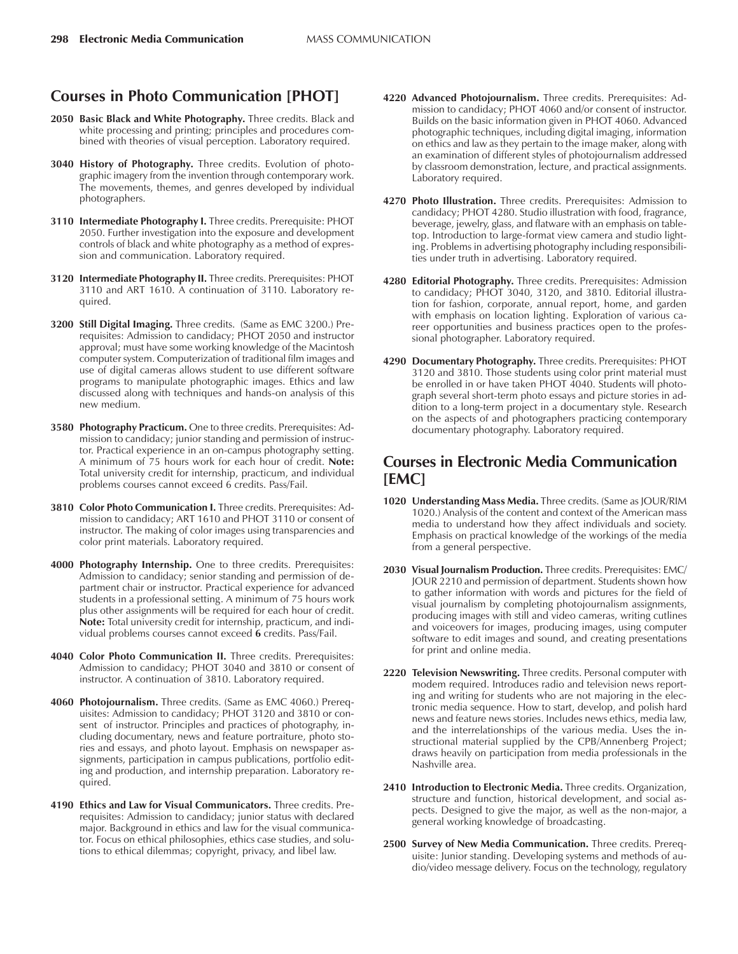# **Courses in Photo Communication [PHOT]**

- 2050 Basic Black and White Photography. Three credits. Black and white processing and printing; principles and procedures combined with theories of visual perception. Laboratory required.
- **3040 History of Photography.** Three credits. Evolution of photographic imagery from the invention through contemporary work. The movements, themes, and genres developed by individual photographers.
- **3110 Intermediate Photography I.** Three credits. Prerequisite: PHOT 2050. Further investigation into the exposure and development controls of black and white photography as a method of expression and communication. Laboratory required.
- **3120 Intermediate Photography II.** Three credits. Prerequisites: PHOT 3110 and ART 1610. A continuation of 3110. Laboratory required.
- **3200 Still Digital Imaging.** Three credits. (Same as EMC 3200.) Prerequisites: Admission to candidacy; PHOT 2050 and instructor approval; must have some working knowledge of the Macintosh computer system. Computerization of traditional film images and use of digital cameras allows student to use different software programs to manipulate photographic images. Ethics and law discussed along with techniques and hands-on analysis of this new medium.
- **3580 Photography Practicum.** One to three credits. Prerequisites: Admission to candidacy; junior standing and permission of instructor. Practical experience in an on-campus photography setting. A minimum of 75 hours work for each hour of credit. **Note:** Total university credit for internship, practicum, and individual problems courses cannot exceed 6 credits. Pass/Fail.
- **3810 Color Photo Communication I.** Three credits. Prerequisites: Admission to candidacy; ART 1610 and PHOT 3110 or consent of instructor. The making of color images using transparencies and color print materials. Laboratory required.
- **4000 Photography Internship.** One to three credits. Prerequisites: Admission to candidacy; senior standing and permission of department chair or instructor. Practical experience for advanced students in a professional setting. A minimum of 75 hours work plus other assignments will be required for each hour of credit. **Note:** Total university credit for internship, practicum, and individual problems courses cannot exceed **6** credits. Pass/Fail.
- 4040 Color Photo Communication II. Three credits. Prerequisites: Admission to candidacy; PHOT 3040 and 3810 or consent of instructor. A continuation of 3810. Laboratory required.
- **4060 Photojournalism.** Three credits. (Same as EMC 4060.) Prerequisites: Admission to candidacy; PHOT 3120 and 3810 or consent of instructor. Principles and practices of photography, including documentary, news and feature portraiture, photo stories and essays, and photo layout. Emphasis on newspaper assignments, participation in campus publications, portfolio editing and production, and internship preparation. Laboratory required.
- **4190 Ethics and Law for Visual Communicators.** Three credits. Prerequisites: Admission to candidacy; junior status with declared major. Background in ethics and law for the visual communicator. Focus on ethical philosophies, ethics case studies, and solutions to ethical dilemmas; copyright, privacy, and libel law.
- **4220 Advanced Photojournalism.** Three credits. Prerequisites: Admission to candidacy; PHOT 4060 and/or consent of instructor. Builds on the basic information given in PHOT 4060. Advanced photographic techniques, including digital imaging, information on ethics and law as they pertain to the image maker, along with an examination of different styles of photojournalism addressed by classroom demonstration, lecture, and practical assignments. Laboratory required.
- **4270 Photo Illustration.** Three credits. Prerequisites: Admission to candidacy; PHOT 4280. Studio illustration with food, fragrance, beverage, jewelry, glass, and flatware with an emphasis on tabletop. Introduction to large-format view camera and studio lighting. Problems in advertising photography including responsibilities under truth in advertising. Laboratory required.
- **4280 Editorial Photography.** Three credits. Prerequisites: Admission to candidacy; PHOT 3040, 3120, and 3810. Editorial illustration for fashion, corporate, annual report, home, and garden with emphasis on location lighting. Exploration of various career opportunities and business practices open to the professional photographer. Laboratory required.
- **4290 Documentary Photography.** Three credits. Prerequisites: PHOT 3120 and 3810. Those students using color print material must be enrolled in or have taken PHOT 4040. Students will photograph several short-term photo essays and picture stories in addition to a long-term project in a documentary style. Research on the aspects of and photographers practicing contemporary documentary photography. Laboratory required.

# **Courses in Electronic Media Communication [EMC]**

- **1020 Understanding Mass Media.** Three credits. (Same as JOUR/RIM 1020.) Analysis of the content and context of the American mass media to understand how they affect individuals and society. Emphasis on practical knowledge of the workings of the media from a general perspective.
- **2030 Visual Journalism Production.** Three credits. Prerequisites: EMC/ JOUR 2210 and permission of department. Students shown how to gather information with words and pictures for the field of visual journalism by completing photojournalism assignments, producing images with still and video cameras, writing cutlines and voiceovers for images, producing images, using computer software to edit images and sound, and creating presentations for print and online media.
- **2220 Television Newswriting.** Three credits. Personal computer with modem required. Introduces radio and television news reporting and writing for students who are not majoring in the electronic media sequence. How to start, develop, and polish hard news and feature news stories. Includes news ethics, media law, and the interrelationships of the various media. Uses the instructional material supplied by the CPB/Annenberg Project; draws heavily on participation from media professionals in the Nashville area.
- **2410 Introduction to Electronic Media.** Three credits. Organization, structure and function, historical development, and social aspects. Designed to give the major, as well as the non-major, a general working knowledge of broadcasting.
- **2500 Survey of New Media Communication.** Three credits. Prerequisite: Junior standing. Developing systems and methods of audio/video message delivery. Focus on the technology, regulatory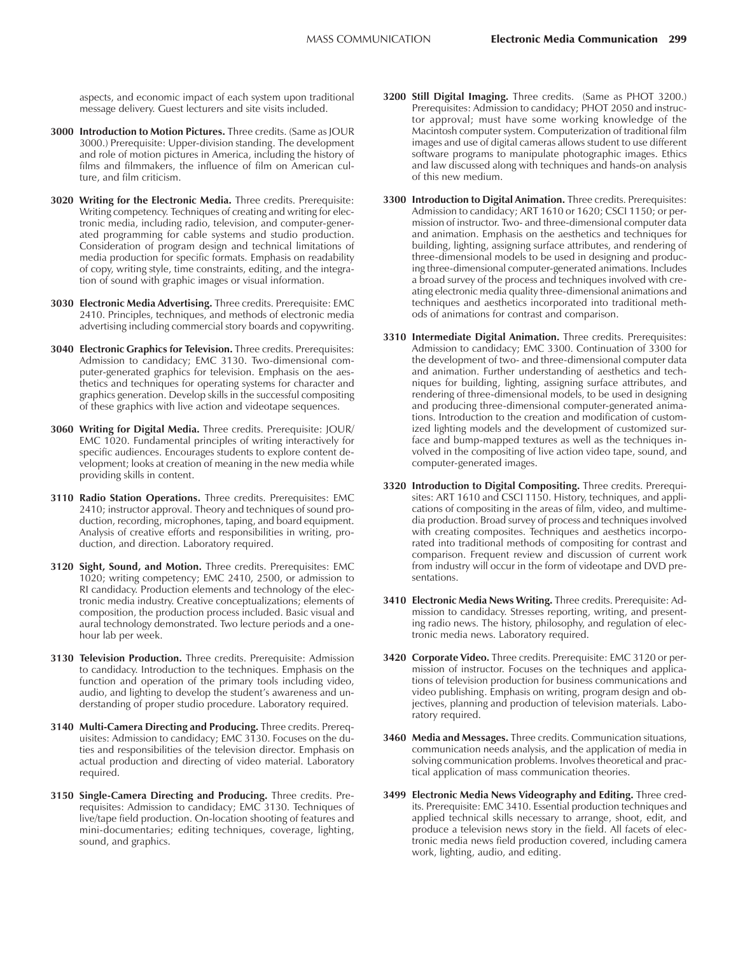aspects, and economic impact of each system upon traditional message delivery. Guest lecturers and site visits included.

- **3000 Introduction to Motion Pictures.** Three credits. (Same as JOUR 3000.) Prerequisite: Upper-division standing. The development and role of motion pictures in America, including the history of films and filmmakers, the influence of film on American culture, and film criticism.
- **3020 Writing for the Electronic Media.** Three credits. Prerequisite: Writing competency. Techniques of creating and writing for electronic media, including radio, television, and computer-generated programming for cable systems and studio production. Consideration of program design and technical limitations of media production for specific formats. Emphasis on readability of copy, writing style, time constraints, editing, and the integration of sound with graphic images or visual information.
- **3030 Electronic Media Advertising.** Three credits. Prerequisite: EMC 2410. Principles, techniques, and methods of electronic media advertising including commercial story boards and copywriting.
- **3040 Electronic Graphics for Television.** Three credits. Prerequisites: Admission to candidacy; EMC 3130. Two-dimensional computer-generated graphics for television. Emphasis on the aesthetics and techniques for operating systems for character and graphics generation. Develop skills in the successful compositing of these graphics with live action and videotape sequences.
- **3060 Writing for Digital Media.** Three credits. Prerequisite: JOUR/ EMC 1020. Fundamental principles of writing interactively for specific audiences. Encourages students to explore content development; looks at creation of meaning in the new media while providing skills in content.
- **3110 Radio Station Operations.** Three credits. Prerequisites: EMC 2410; instructor approval. Theory and techniques of sound production, recording, microphones, taping, and board equipment. Analysis of creative efforts and responsibilities in writing, production, and direction. Laboratory required.
- **3120 Sight, Sound, and Motion.** Three credits. Prerequisites: EMC 1020; writing competency; EMC 2410, 2500, or admission to RI candidacy. Production elements and technology of the electronic media industry. Creative conceptualizations; elements of composition, the production process included. Basic visual and aural technology demonstrated. Two lecture periods and a onehour lab per week.
- **3130 Television Production.** Three credits. Prerequisite: Admission to candidacy. Introduction to the techniques. Emphasis on the function and operation of the primary tools including video, audio, and lighting to develop the student's awareness and understanding of proper studio procedure. Laboratory required.
- **3140 Multi-Camera Directing and Producing.** Three credits. Prerequisites: Admission to candidacy; EMC 3130. Focuses on the duties and responsibilities of the television director. Emphasis on actual production and directing of video material. Laboratory required.
- **3150 Single-Camera Directing and Producing.** Three credits. Prerequisites: Admission to candidacy; EMC 3130. Techniques of live/tape field production. On-location shooting of features and mini-documentaries; editing techniques, coverage, lighting, sound, and graphics.
- **3200 Still Digital Imaging.** Three credits. (Same as PHOT 3200.) Prerequisites: Admission to candidacy; PHOT 2050 and instructor approval; must have some working knowledge of the Macintosh computer system. Computerization of traditional film images and use of digital cameras allows student to use different software programs to manipulate photographic images. Ethics and law discussed along with techniques and hands-on analysis of this new medium.
- **3300 Introduction to Digital Animation.** Three credits. Prerequisites: Admission to candidacy; ART 1610 or 1620; CSCI 1150; or permission of instructor. Two- and three-dimensional computer data and animation. Emphasis on the aesthetics and techniques for building, lighting, assigning surface attributes, and rendering of three-dimensional models to be used in designing and producing three-dimensional computer-generated animations. Includes a broad survey of the process and techniques involved with creating electronic media quality three-dimensional animations and techniques and aesthetics incorporated into traditional methods of animations for contrast and comparison.
- **3310 Intermediate Digital Animation.** Three credits. Prerequisites: Admission to candidacy; EMC 3300. Continuation of 3300 for the development of two- and three-dimensional computer data and animation. Further understanding of aesthetics and techniques for building, lighting, assigning surface attributes, and rendering of three-dimensional models, to be used in designing and producing three-dimensional computer-generated animations. Introduction to the creation and modification of customized lighting models and the development of customized surface and bump-mapped textures as well as the techniques involved in the compositing of live action video tape, sound, and computer-generated images.
- **3320 Introduction to Digital Compositing.** Three credits. Prerequisites: ART 1610 and CSCI 1150. History, techniques, and applications of compositing in the areas of film, video, and multimedia production. Broad survey of process and techniques involved with creating composites. Techniques and aesthetics incorporated into traditional methods of compositing for contrast and comparison. Frequent review and discussion of current work from industry will occur in the form of videotape and DVD presentations.
- **3410 Electronic Media News Writing.** Three credits. Prerequisite: Admission to candidacy. Stresses reporting, writing, and presenting radio news. The history, philosophy, and regulation of electronic media news. Laboratory required.
- **3420 Corporate Video.** Three credits. Prerequisite: EMC 3120 or permission of instructor. Focuses on the techniques and applications of television production for business communications and video publishing. Emphasis on writing, program design and objectives, planning and production of television materials. Laboratory required.
- **3460 Media and Messages.** Three credits. Communication situations, communication needs analysis, and the application of media in solving communication problems. Involves theoretical and practical application of mass communication theories.
- **3499 Electronic Media News Videography and Editing.** Three credits. Prerequisite: EMC 3410. Essential production techniques and applied technical skills necessary to arrange, shoot, edit, and produce a television news story in the field. All facets of electronic media news field production covered, including camera work, lighting, audio, and editing.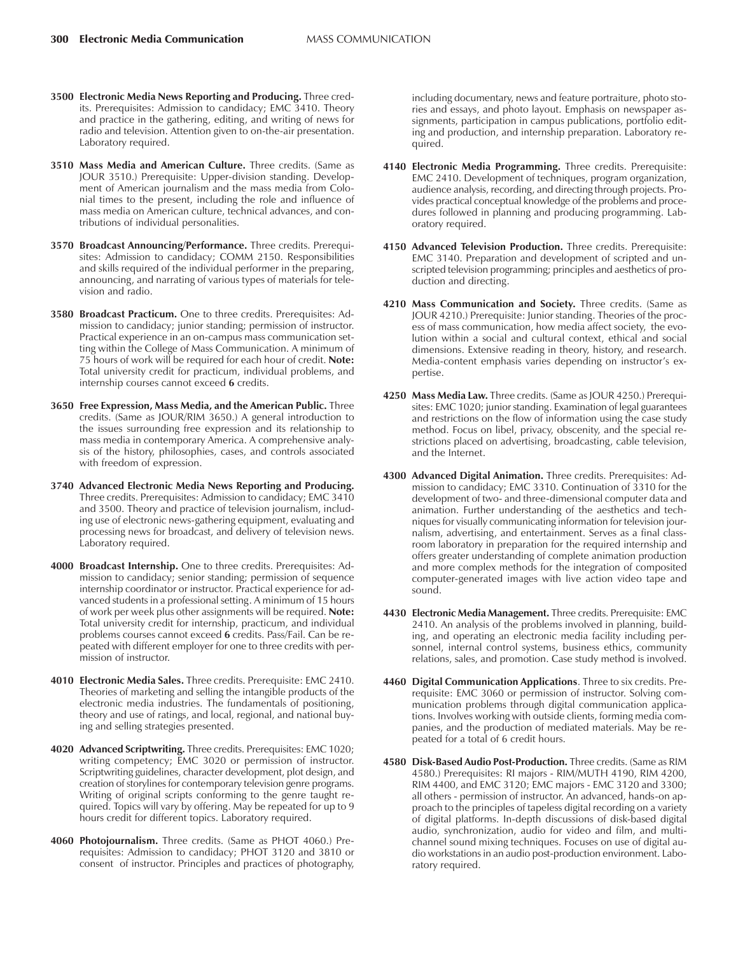- **3500 Electronic Media News Reporting and Producing.** Three credits. Prerequisites: Admission to candidacy; EMC 3410. Theory and practice in the gathering, editing, and writing of news for radio and television. Attention given to on-the-air presentation. Laboratory required.
- **3510 Mass Media and American Culture.** Three credits. (Same as JOUR 3510.) Prerequisite: Upper-division standing. Development of American journalism and the mass media from Colonial times to the present, including the role and influence of mass media on American culture, technical advances, and contributions of individual personalities.
- **3570 Broadcast Announcing/Performance.** Three credits. Prerequisites: Admission to candidacy; COMM 2150. Responsibilities and skills required of the individual performer in the preparing, announcing, and narrating of various types of materials for television and radio.
- **3580 Broadcast Practicum.** One to three credits. Prerequisites: Admission to candidacy; junior standing; permission of instructor. Practical experience in an on-campus mass communication setting within the College of Mass Communication. A minimum of 75 hours of work will be required for each hour of credit. **Note:** Total university credit for practicum, individual problems, and internship courses cannot exceed **6** credits.
- **3650 Free Expression, Mass Media, and the American Public.** Three credits. (Same as JOUR/RIM 3650.) A general introduction to the issues surrounding free expression and its relationship to mass media in contemporary America. A comprehensive analysis of the history, philosophies, cases, and controls associated with freedom of expression.
- **3740 Advanced Electronic Media News Reporting and Producing.** Three credits. Prerequisites: Admission to candidacy; EMC 3410 and 3500. Theory and practice of television journalism, including use of electronic news-gathering equipment, evaluating and processing news for broadcast, and delivery of television news. Laboratory required.
- **4000 Broadcast Internship.** One to three credits. Prerequisites: Admission to candidacy; senior standing; permission of sequence internship coordinator or instructor. Practical experience for advanced students in a professional setting. A minimum of 15 hours of work per week plus other assignments will be required. **Note:** Total university credit for internship, practicum, and individual problems courses cannot exceed **6** credits. Pass/Fail. Can be repeated with different employer for one to three credits with permission of instructor.
- **4010 Electronic Media Sales.** Three credits. Prerequisite: EMC 2410. Theories of marketing and selling the intangible products of the electronic media industries. The fundamentals of positioning, theory and use of ratings, and local, regional, and national buying and selling strategies presented.
- **4020 Advanced Scriptwriting.** Three credits. Prerequisites: EMC 1020; writing competency; EMC 3020 or permission of instructor. Scriptwriting guidelines, character development, plot design, and creation of storylines for contemporary television genre programs. Writing of original scripts conforming to the genre taught required. Topics will vary by offering. May be repeated for up to 9 hours credit for different topics. Laboratory required.
- **4060 Photojournalism.** Three credits. (Same as PHOT 4060.) Prerequisites: Admission to candidacy; PHOT 3120 and 3810 or consent of instructor. Principles and practices of photography,

including documentary, news and feature portraiture, photo stories and essays, and photo layout. Emphasis on newspaper assignments, participation in campus publications, portfolio editing and production, and internship preparation. Laboratory required.

- **4140 Electronic Media Programming.** Three credits. Prerequisite: EMC 2410. Development of techniques, program organization, audience analysis, recording, and directing through projects. Provides practical conceptual knowledge of the problems and procedures followed in planning and producing programming. Laboratory required.
- **4150 Advanced Television Production.** Three credits. Prerequisite: EMC 3140. Preparation and development of scripted and unscripted television programming; principles and aesthetics of production and directing.
- **4210 Mass Communication and Society.** Three credits. (Same as JOUR 4210.) Prerequisite: Junior standing. Theories of the process of mass communication, how media affect society, the evolution within a social and cultural context, ethical and social dimensions. Extensive reading in theory, history, and research. Media-content emphasis varies depending on instructor's expertise.
- **4250 Mass Media Law.** Three credits. (Same as JOUR 4250.) Prerequisites: EMC 1020; junior standing. Examination of legal guarantees and restrictions on the flow of information using the case study method. Focus on libel, privacy, obscenity, and the special restrictions placed on advertising, broadcasting, cable television, and the Internet.
- **4300 Advanced Digital Animation.** Three credits. Prerequisites: Admission to candidacy; EMC 3310. Continuation of 3310 for the development of two- and three-dimensional computer data and animation. Further understanding of the aesthetics and techniques for visually communicating information for television journalism, advertising, and entertainment. Serves as a final classroom laboratory in preparation for the required internship and offers greater understanding of complete animation production and more complex methods for the integration of composited computer-generated images with live action video tape and sound.
- **4430 Electronic Media Management.** Three credits. Prerequisite: EMC 2410. An analysis of the problems involved in planning, building, and operating an electronic media facility including personnel, internal control systems, business ethics, community relations, sales, and promotion. Case study method is involved.
- **4460 Digital Communication Applications**. Three to six credits. Prerequisite: EMC 3060 or permission of instructor. Solving communication problems through digital communication applications. Involves working with outside clients, forming media companies, and the production of mediated materials. May be repeated for a total of 6 credit hours.
- **4580 Disk-Based Audio Post-Production.** Three credits. (Same as RIM 4580.) Prerequisites: RI majors - RIM/MUTH 4190, RIM 4200, RIM 4400, and EMC 3120; EMC majors - EMC 3120 and 3300; all others - permission of instructor. An advanced, hands-on approach to the principles of tapeless digital recording on a variety of digital platforms. In-depth discussions of disk-based digital audio, synchronization, audio for video and film, and multichannel sound mixing techniques. Focuses on use of digital audio workstations in an audio post-production environment. Laboratory required.